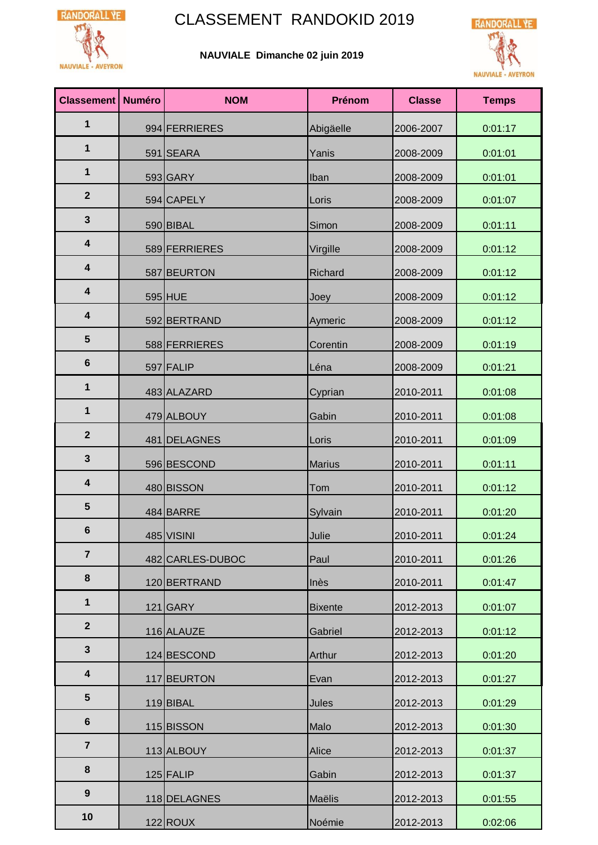

## RANDORALL YE<sup>1</sup> CLASSEMENT RANDOKID 2019

## **NAUVIALE Dimanche 02 juin 2019**



| <b>Classement</b>       | <b>Numéro</b> | <b>NOM</b>       | Prénom         | <b>Classe</b> | <b>Temps</b> |
|-------------------------|---------------|------------------|----------------|---------------|--------------|
| 1                       |               | 994 FERRIERES    | Abigäelle      | 2006-2007     | 0:01:17      |
| 1                       |               | 591 SEARA        | Yanis          | 2008-2009     | 0:01:01      |
| 1                       |               | 593 GARY         | Iban           | 2008-2009     | 0:01:01      |
| $\overline{2}$          |               | 594 CAPELY       | Loris          | 2008-2009     | 0:01:07      |
| $\mathbf{3}$            |               | 590 BIBAL        | Simon          | 2008-2009     | 0:01:11      |
| $\overline{\mathbf{4}}$ |               | 589 FERRIERES    | Virgille       | 2008-2009     | 0:01:12      |
| $\overline{\mathbf{4}}$ |               | 587 BEURTON      | Richard        | 2008-2009     | 0:01:12      |
| $\overline{\mathbf{4}}$ |               | 595 HUE          | Joey           | 2008-2009     | 0:01:12      |
| $\overline{\mathbf{4}}$ |               | 592 BERTRAND     | Aymeric        | 2008-2009     | 0:01:12      |
| 5                       |               | 588 FERRIERES    | Corentin       | 2008-2009     | 0:01:19      |
| $6\phantom{1}$          |               | 597 FALIP        | Léna           | 2008-2009     | 0:01:21      |
| 1                       |               | 483 ALAZARD      | Cyprian        | 2010-2011     | 0:01:08      |
| 1                       |               | 479 ALBOUY       | Gabin          | 2010-2011     | 0:01:08      |
| $\overline{2}$          |               | 481 DELAGNES     | Loris          | 2010-2011     | 0:01:09      |
| 3                       |               | 596 BESCOND      | <b>Marius</b>  | 2010-2011     | 0:01:11      |
| $\overline{\mathbf{4}}$ |               | 480 BISSON       | Tom            | 2010-2011     | 0:01:12      |
| $5\phantom{1}$          |               | 484 BARRE        | Sylvain        | 2010-2011     | 0:01:20      |
| $6\phantom{1}$          |               | 485 VISINI       | Julie          | 2010-2011     | 0:01:24      |
| $\overline{7}$          |               | 482 CARLES-DUBOC | Paul           | 2010-2011     | 0:01:26      |
| 8                       |               | 120 BERTRAND     | Inès           | 2010-2011     | 0:01:47      |
| $\mathbf 1$             |               | $121$ GARY       | <b>Bixente</b> | 2012-2013     | 0:01:07      |
| $\overline{2}$          |               | 116 ALAUZE       | Gabriel        | 2012-2013     | 0:01:12      |
| $\mathbf{3}$            |               | 124 BESCOND      | Arthur         | 2012-2013     | 0:01:20      |
| 4                       |               | 117 BEURTON      | Evan           | 2012-2013     | 0:01:27      |
| 5                       |               | 119 BIBAL        | Jules          | 2012-2013     | 0:01:29      |
| $6\phantom{1}$          |               | 115 BISSON       | Malo           | 2012-2013     | 0:01:30      |
| $\overline{7}$          |               | 113 ALBOUY       | Alice          | 2012-2013     | 0:01:37      |
| 8                       |               | $125$ FALIP      | Gabin          | 2012-2013     | 0:01:37      |
| 9                       |               | 118 DELAGNES     | Maëlis         | 2012-2013     | 0:01:55      |
| 10                      |               | $122$ ROUX       | Noémie         | 2012-2013     | 0:02:06      |